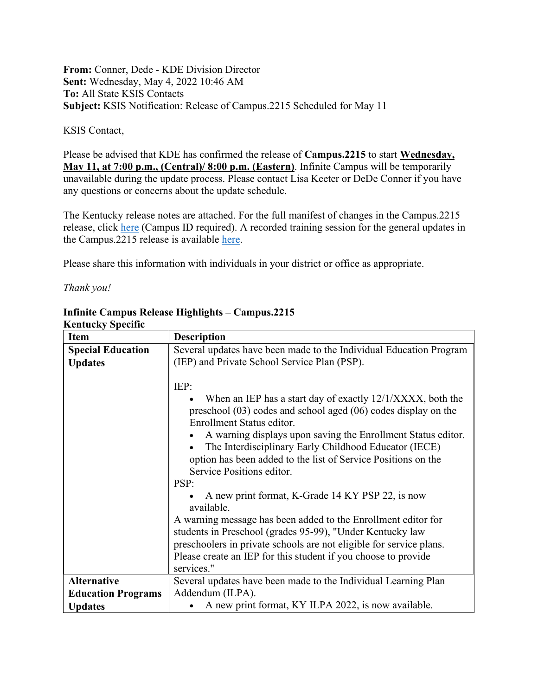**From:** Conner, Dede - KDE Division Director **Sent:** Wednesday, May 4, 2022 10:46 AM **To:** All State KSIS Contacts **Subject:** KSIS Notification: Release of Campus.2215 Scheduled for May 11

## KSIS Contact,

Please be advised that KDE has confirmed the release of **Campus.2215** to start **Wednesday, May 11, at 7:00 p.m., (Central)/ 8:00 p.m. (Eastern)**. Infinite Campus will be temporarily unavailable during the update process. Please contact Lisa Keeter or DeDe Conner if you have any questions or concerns about the update schedule.

The Kentucky release notes are attached. For the full manifest of changes in the Campus.2215 release, click [here](https://kb.infinitecampus.com/help/release-pack-campus2215-april-2022) (Campus ID required). A recorded training session for the general updates in the Campus.2215 release is available [here.](https://university.infinitecampus.com/learn/course/internal/view/elearning/20609/campus2215-sis-release-highlights)

Please share this information with individuals in your district or office as appropriate.

*Thank you!*

| іхспійску эресніс<br>Item                  | <b>Description</b>                                                                                                                                                                                                                                                                                                                                                                                                                                                                                                                                                                                                                                                                                                                                          |
|--------------------------------------------|-------------------------------------------------------------------------------------------------------------------------------------------------------------------------------------------------------------------------------------------------------------------------------------------------------------------------------------------------------------------------------------------------------------------------------------------------------------------------------------------------------------------------------------------------------------------------------------------------------------------------------------------------------------------------------------------------------------------------------------------------------------|
| <b>Special Education</b><br><b>Updates</b> | Several updates have been made to the Individual Education Program<br>(IEP) and Private School Service Plan (PSP).                                                                                                                                                                                                                                                                                                                                                                                                                                                                                                                                                                                                                                          |
|                                            | IEP:<br>When an IEP has a start day of exactly 12/1/XXXX, both the<br>preschool $(03)$ codes and school aged $(06)$ codes display on the<br>Enrollment Status editor.<br>A warning displays upon saving the Enrollment Status editor.<br>The Interdisciplinary Early Childhood Educator (IECE)<br>option has been added to the list of Service Positions on the<br>Service Positions editor.<br>PSP:<br>A new print format, K-Grade 14 KY PSP 22, is now<br>available.<br>A warning message has been added to the Enrollment editor for<br>students in Preschool (grades 95-99), "Under Kentucky law<br>preschoolers in private schools are not eligible for service plans.<br>Please create an IEP for this student if you choose to provide<br>services." |
| <b>Alternative</b>                         | Several updates have been made to the Individual Learning Plan                                                                                                                                                                                                                                                                                                                                                                                                                                                                                                                                                                                                                                                                                              |
| <b>Education Programs</b>                  | Addendum (ILPA).                                                                                                                                                                                                                                                                                                                                                                                                                                                                                                                                                                                                                                                                                                                                            |
| <b>Updates</b>                             | A new print format, KY ILPA 2022, is now available.                                                                                                                                                                                                                                                                                                                                                                                                                                                                                                                                                                                                                                                                                                         |

## **Infinite Campus Release Highlights – Campus.2215 Kentucky Specific**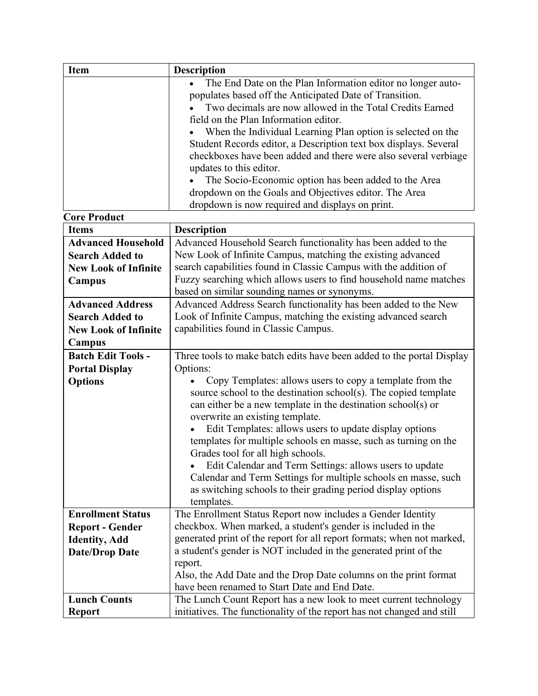| <b>Item</b>                 | <b>Description</b>                                                                                                                     |
|-----------------------------|----------------------------------------------------------------------------------------------------------------------------------------|
|                             | The End Date on the Plan Information editor no longer auto-                                                                            |
|                             | populates based off the Anticipated Date of Transition.                                                                                |
|                             | Two decimals are now allowed in the Total Credits Earned                                                                               |
|                             | field on the Plan Information editor.                                                                                                  |
|                             | When the Individual Learning Plan option is selected on the                                                                            |
|                             | Student Records editor, a Description text box displays. Several                                                                       |
|                             | checkboxes have been added and there were also several verbiage                                                                        |
|                             | updates to this editor.                                                                                                                |
|                             | The Socio-Economic option has been added to the Area                                                                                   |
|                             | dropdown on the Goals and Objectives editor. The Area                                                                                  |
|                             | dropdown is now required and displays on print.                                                                                        |
| <b>Core Product</b>         |                                                                                                                                        |
| <b>Items</b>                | <b>Description</b>                                                                                                                     |
| <b>Advanced Household</b>   | Advanced Household Search functionality has been added to the                                                                          |
| <b>Search Added to</b>      | New Look of Infinite Campus, matching the existing advanced                                                                            |
| <b>New Look of Infinite</b> | search capabilities found in Classic Campus with the addition of                                                                       |
| Campus                      | Fuzzy searching which allows users to find household name matches                                                                      |
|                             | based on similar sounding names or synonyms.                                                                                           |
| <b>Advanced Address</b>     | Advanced Address Search functionality has been added to the New                                                                        |
| <b>Search Added to</b>      | Look of Infinite Campus, matching the existing advanced search                                                                         |
| <b>New Look of Infinite</b> | capabilities found in Classic Campus.                                                                                                  |
| Campus                      |                                                                                                                                        |
| <b>Batch Edit Tools -</b>   | Three tools to make batch edits have been added to the portal Display                                                                  |
| <b>Portal Display</b>       | Options:                                                                                                                               |
| <b>Options</b>              | Copy Templates: allows users to copy a template from the                                                                               |
|                             | source school to the destination school(s). The copied template                                                                        |
|                             | can either be a new template in the destination school(s) or                                                                           |
|                             | overwrite an existing template.                                                                                                        |
|                             | Edit Templates: allows users to update display options                                                                                 |
|                             | templates for multiple schools en masse, such as turning on the                                                                        |
|                             | Grades tool for all high schools.                                                                                                      |
|                             | Edit Calendar and Term Settings: allows users to update                                                                                |
|                             | Calendar and Term Settings for multiple schools en masse, such                                                                         |
|                             | as switching schools to their grading period display options                                                                           |
|                             | templates.                                                                                                                             |
| <b>Enrollment Status</b>    | The Enrollment Status Report now includes a Gender Identity                                                                            |
| <b>Report - Gender</b>      | checkbox. When marked, a student's gender is included in the<br>generated print of the report for all report formats; when not marked, |
| <b>Identity, Add</b>        | a student's gender is NOT included in the generated print of the                                                                       |
| <b>Date/Drop Date</b>       | report.                                                                                                                                |
|                             | Also, the Add Date and the Drop Date columns on the print format                                                                       |
|                             | have been renamed to Start Date and End Date.                                                                                          |
| <b>Lunch Counts</b>         | The Lunch Count Report has a new look to meet current technology                                                                       |
| <b>Report</b>               | initiatives. The functionality of the report has not changed and still                                                                 |